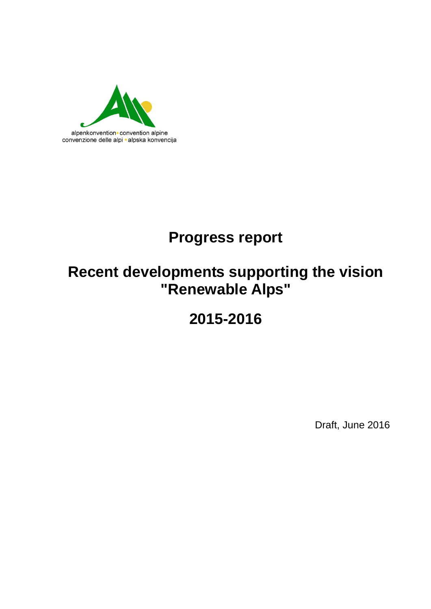

# **Progress report**

## **Recent developments supporting the vision "Renewable Alps"**

# **2015-2016**

Draft, June 2016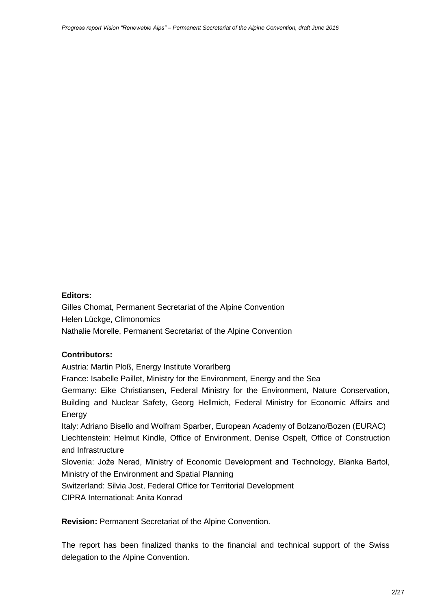#### **Editors:**

Gilles Chomat, Permanent Secretariat of the Alpine Convention Helen Lückge, Climonomics Nathalie Morelle, Permanent Secretariat of the Alpine Convention

#### **Contributors:**

Austria: Martin Ploß, Energy Institute Vorarlberg France: Isabelle Paillet, Ministry for the Environment, Energy and the Sea Germany: Eike Christiansen, Federal Ministry for the Environment, Nature Conservation, Building and Nuclear Safety, Georg Hellmich, Federal Ministry for Economic Affairs and Energy

Italy: Adriano Bisello and Wolfram Sparber, European Academy of Bolzano/Bozen (EURAC) Liechtenstein: Helmut Kindle, Office of Environment, Denise Ospelt, Office of Construction and Infrastructure

Slovenia: Jože Nerad, Ministry of Economic Development and Technology, Blanka Bartol, Ministry of the Environment and Spatial Planning

Switzerland: Silvia Jost, Federal Office for Territorial Development

CIPRA International: Anita Konrad

**Revision:** Permanent Secretariat of the Alpine Convention.

The report has been finalized thanks to the financial and technical support of the Swiss delegation to the Alpine Convention.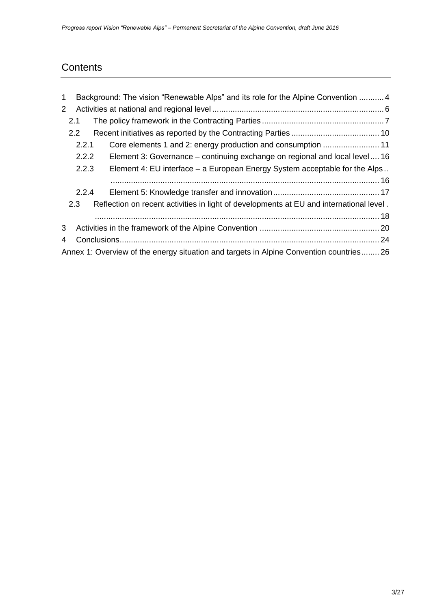### **Contents**

| $\mathbf 1$    | Background: The vision "Renewable Alps" and its role for the Alpine Convention  4 |                                                                                         |  |  |  |  |  |
|----------------|-----------------------------------------------------------------------------------|-----------------------------------------------------------------------------------------|--|--|--|--|--|
| $\overline{2}$ |                                                                                   |                                                                                         |  |  |  |  |  |
|                | 2.1                                                                               |                                                                                         |  |  |  |  |  |
|                | 2.2 <sub>2</sub>                                                                  |                                                                                         |  |  |  |  |  |
|                | 2.2.1                                                                             | Core elements 1 and 2: energy production and consumption 11                             |  |  |  |  |  |
|                | 2.2.2                                                                             | Element 3: Governance – continuing exchange on regional and local level  16             |  |  |  |  |  |
|                | 2.2.3                                                                             | Element 4: EU interface – a European Energy System acceptable for the Alps              |  |  |  |  |  |
|                |                                                                                   |                                                                                         |  |  |  |  |  |
|                | 2.2.4                                                                             |                                                                                         |  |  |  |  |  |
|                | 2.3                                                                               | Reflection on recent activities in light of developments at EU and international level. |  |  |  |  |  |
|                |                                                                                   |                                                                                         |  |  |  |  |  |
| 3              |                                                                                   |                                                                                         |  |  |  |  |  |
| 4              |                                                                                   |                                                                                         |  |  |  |  |  |
|                |                                                                                   | Annex 1: Overview of the energy situation and targets in Alpine Convention countries 26 |  |  |  |  |  |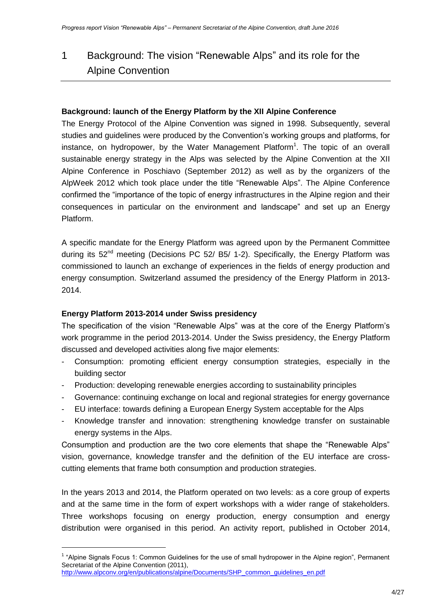## <span id="page-3-0"></span>1 Background: The vision "Renewable Alps" and its role for the Alpine Convention

#### **Background: launch of the Energy Platform by the XII Alpine Conference**

The Energy Protocol of the Alpine Convention was signed in 1998. Subsequently, several studies and guidelines were produced by the Convention's working groups and platforms, for instance, on hydropower, by the Water Management Platform<sup>1</sup>. The topic of an overall sustainable energy strategy in the Alps was selected by the Alpine Convention at the XII Alpine Conference in Poschiavo (September 2012) as well as by the organizers of the AlpWeek 2012 which took place under the title "Renewable Alps". The Alpine Conference confirmed the "importance of the topic of energy infrastructures in the Alpine region and their consequences in particular on the environment and landscape" and set up an Energy Platform.

A specific mandate for the Energy Platform was agreed upon by the Permanent Committee during its  $52<sup>nd</sup>$  meeting (Decisions PC  $52/$  B5/ 1-2). Specifically, the Energy Platform was commissioned to launch an exchange of experiences in the fields of energy production and energy consumption. Switzerland assumed the presidency of the Energy Platform in 2013- 2014.

#### **Energy Platform 2013-2014 under Swiss presidency**

-

The specification of the vision "Renewable Alps" was at the core of the Energy Platform's work programme in the period 2013-2014. Under the Swiss presidency, the Energy Platform discussed and developed activities along five major elements:

- Consumption: promoting efficient energy consumption strategies, especially in the building sector
- Production: developing renewable energies according to sustainability principles
- Governance: continuing exchange on local and regional strategies for energy governance
- EU interface: towards defining a European Energy System acceptable for the Alps
- Knowledge transfer and innovation: strengthening knowledge transfer on sustainable energy systems in the Alps.

Consumption and production are the two core elements that shape the "Renewable Alps" vision, governance, knowledge transfer and the definition of the EU interface are crosscutting elements that frame both consumption and production strategies.

In the years 2013 and 2014, the Platform operated on two levels: as a core group of experts and at the same time in the form of expert workshops with a wider range of stakeholders. Three workshops focusing on energy production, energy consumption and energy distribution were organised in this period. An activity report, published in October 2014,

<sup>&</sup>lt;sup>1</sup> "Alpine Signals Focus 1: Common Guidelines for the use of small hydropower in the Alpine region", Permanent Secretariat of the Alpine Convention (2011), [http://www.alpconv.org/en/publications/alpine/Documents/SHP\\_common\\_guidelines\\_en.pdf](http://www.alpconv.org/en/publications/alpine/Documents/SHP_common_guidelines_en.pdf)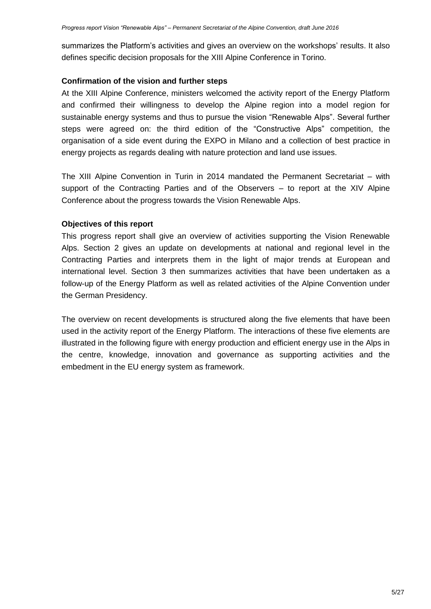summarizes the Platform's activities and gives an overview on the workshops' results. It also defines specific decision proposals for the XIII Alpine Conference in Torino.

#### **Confirmation of the vision and further steps**

At the XIII Alpine Conference, ministers welcomed the activity report of the Energy Platform and confirmed their willingness to develop the Alpine region into a model region for sustainable energy systems and thus to pursue the vision "Renewable Alps". Several further steps were agreed on: the third edition of the "Constructive Alps" competition, the organisation of a side event during the EXPO in Milano and a collection of best practice in energy projects as regards dealing with nature protection and land use issues.

The XIII Alpine Convention in Turin in 2014 mandated the Permanent Secretariat – with support of the Contracting Parties and of the Observers – to report at the XIV Alpine Conference about the progress towards the Vision Renewable Alps.

#### **Objectives of this report**

This progress report shall give an overview of activities supporting the Vision Renewable Alps. Section 2 gives an update on developments at national and regional level in the Contracting Parties and interprets them in the light of major trends at European and international level. Section 3 then summarizes activities that have been undertaken as a follow-up of the Energy Platform as well as related activities of the Alpine Convention under the German Presidency.

The overview on recent developments is structured along the five elements that have been used in the activity report of the Energy Platform. The interactions of these five elements are illustrated in the following figure with energy production and efficient energy use in the Alps in the centre, knowledge, innovation and governance as supporting activities and the embedment in the EU energy system as framework.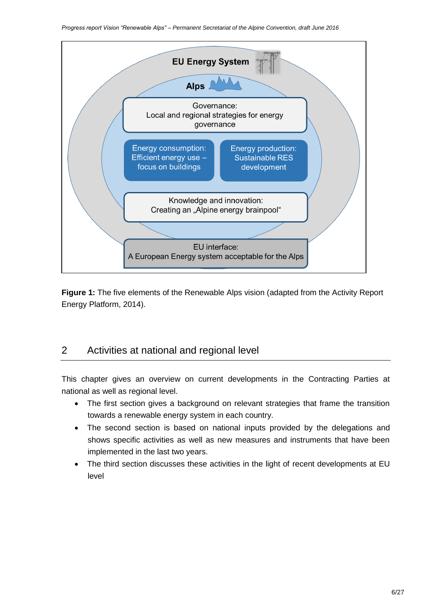

**Figure 1:** The five elements of the Renewable Alps vision (adapted from the Activity Report Energy Platform, 2014).

### <span id="page-5-0"></span>2 Activities at national and regional level

This chapter gives an overview on current developments in the Contracting Parties at national as well as regional level.

- The first section gives a background on relevant strategies that frame the transition towards a renewable energy system in each country.
- The second section is based on national inputs provided by the delegations and shows specific activities as well as new measures and instruments that have been implemented in the last two years.
- The third section discusses these activities in the light of recent developments at EU level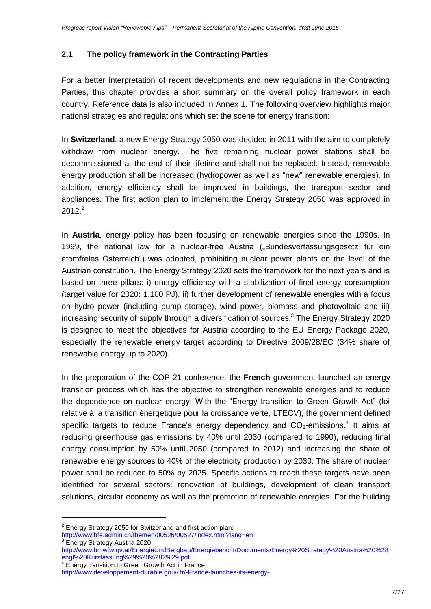#### <span id="page-6-0"></span>**2.1 The policy framework in the Contracting Parties**

For a better interpretation of recent developments and new regulations in the Contracting Parties, this chapter provides a short summary on the overall policy framework in each country. Reference data is also included in Annex 1. The following overview highlights major national strategies and regulations which set the scene for energy transition:

In **Switzerland**, a new Energy Strategy 2050 was decided in 2011 with the aim to completely withdraw from nuclear energy. The five remaining nuclear power stations shall be decommissioned at the end of their lifetime and shall not be replaced. Instead, renewable energy production shall be increased (hydropower as well as "new" renewable energies). In addition, energy efficiency shall be improved in buildings, the transport sector and appliances. The first action plan to implement the Energy Strategy 2050 was approved in  $2012.<sup>2</sup>$ 

In **Austria**, energy policy has been focusing on renewable energies since the 1990s. In 1999, the national law for a nuclear-free Austria ("Bundesverfassungsgesetz für ein atomfreies Österreich") was adopted, prohibiting nuclear power plants on the level of the Austrian constitution. The Energy Strategy 2020 sets the framework for the next years and is based on three pillars: i) energy efficiency with a stabilization of final energy consumption (target value for 2020: 1,100 PJ), ii) further development of renewable energies with a focus on hydro power (including pump storage), wind power, biomass and photovoltaic and iii) increasing security of supply through a diversification of sources.<sup>3</sup> The Energy Strategy 2020 is designed to meet the objectives for Austria according to the EU Energy Package 2020, especially the renewable energy target according to Directive 2009/28/EC (34% share of renewable energy up to 2020).

In the preparation of the COP 21 conference, the **French** government launched an energy transition process which has the objective to strengthen renewable energies and to reduce the dependence on nuclear energy. With the "Energy transition to Green Growth Act" (loi relative à la transition énergétique pour la croissance verte, LTECV), the government defined specific targets to reduce France's energy dependency and  $CO_2$ -emissions.<sup>4</sup> It aims at reducing greenhouse gas emissions by 40% until 2030 (compared to 1990), reducing final energy consumption by 50% until 2050 (compared to 2012) and increasing the share of renewable energy sources to 40% of the electricity production by 2030. The share of nuclear power shall be reduced to 50% by 2025. Specific actions to reach these targets have been identified for several sectors: renovation of buildings, development of clean transport solutions, circular economy as well as the promotion of renewable energies. For the building

1

 $2$  Energy Strategy 2050 for Switzerland and first action plan:

<http://www.bfe.admin.ch/themen/00526/00527/index.html?lang=en> 3 Energy Strategy Austria 2020

[http://www.bmwfw.gv.at/EnergieUndBergbau/Energiebericht/Documents/Energy%20Strategy%20Austria%20%28](http://www.bmwfw.gv.at/EnergieUndBergbau/Energiebericht/Documents/Energy%20Strategy%20Austria%20%28engl%20Kurzfassung%29%20%282%29.pdf) [engl%20Kurzfassung%29%20%282%29.pdf](http://www.bmwfw.gv.at/EnergieUndBergbau/Energiebericht/Documents/Energy%20Strategy%20Austria%20%28engl%20Kurzfassung%29%20%282%29.pdf) 4

Energy transition to Green Growth Act in France:

<http://www.developpement-durable.gouv.fr/-France-launches-its-energy->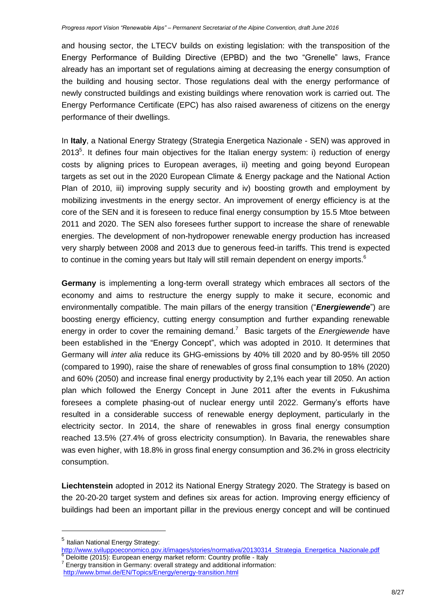and housing sector, the LTECV builds on existing legislation: with the transposition of the Energy Performance of Building Directive (EPBD) and the two "Grenelle" laws, France already has an important set of regulations aiming at decreasing the energy consumption of the building and housing sector. Those regulations deal with the energy performance of newly constructed buildings and existing buildings where renovation work is carried out. The Energy Performance Certificate (EPC) has also raised awareness of citizens on the energy performance of their dwellings.

In **Italy**, a National Energy Strategy (Strategia Energetica Nazionale - SEN) was approved in  $2013<sup>5</sup>$ . It defines four main objectives for the Italian energy system: i) reduction of energy costs by aligning prices to European averages, ii) meeting and going beyond European targets as set out in the 2020 European Climate & Energy package and the National Action Plan of 2010, iii) improving supply security and iv) boosting growth and employment by mobilizing investments in the energy sector. An improvement of energy efficiency is at the core of the SEN and it is foreseen to reduce final energy consumption by 15.5 Mtoe between 2011 and 2020. The SEN also foresees further support to increase the share of renewable energies. The development of non-hydropower renewable energy production has increased very sharply between 2008 and 2013 due to generous feed-in tariffs. This trend is expected to continue in the coming years but Italy will still remain dependent on energy imports.<sup>6</sup>

**Germany** is implementing a long-term overall strategy which embraces all sectors of the economy and aims to restructure the energy supply to make it secure, economic and environmentally compatible. The main pillars of the energy transition ("*Energiewende*") are boosting energy efficiency, cutting energy consumption and further expanding renewable energy in order to cover the remaining demand.<sup>7</sup> Basic targets of the *Energiewende* have been established in the "Energy Concept", which was adopted in 2010. It determines that Germany will *inter alia* reduce its GHG-emissions by 40% till 2020 and by 80-95% till 2050 (compared to 1990), raise the share of renewables of gross final consumption to 18% (2020) and 60% (2050) and increase final energy productivity by 2,1% each year till 2050. An action plan which followed the Energy Concept in June 2011 after the events in Fukushima foresees a complete phasing-out of nuclear energy until 2022. Germany's efforts have resulted in a considerable success of renewable energy deployment, particularly in the electricity sector. In 2014, the share of renewables in gross final energy consumption reached 13.5% (27.4% of gross electricity consumption). In Bavaria, the renewables share was even higher, with 18.8% in gross final energy consumption and 36.2% in gross electricity consumption.

**Liechtenstein** adopted in 2012 its National Energy Strategy 2020. The Strategy is based on the 20-20-20 target system and defines six areas for action. Improving energy efficiency of buildings had been an important pillar in the previous energy concept and will be continued

<sup>&</sup>lt;sup>5</sup> Italian National Energy Strategy:

[http://www.sviluppoeconomico.gov.it/images/stories/normativa/20130314\\_Strategia\\_Energetica\\_Nazionale.pdf](http://www.sviluppoeconomico.gov.it/images/stories/normativa/20130314_Strategia_Energetica_Nazionale.pdf)  $6$  Deloitte (2015): European energy market reform: Country profile - Italy

 $7$  Energy transition in Germany: overall strategy and additional information: <http://www.bmwi.de/EN/Topics/Energy/energy-transition.html>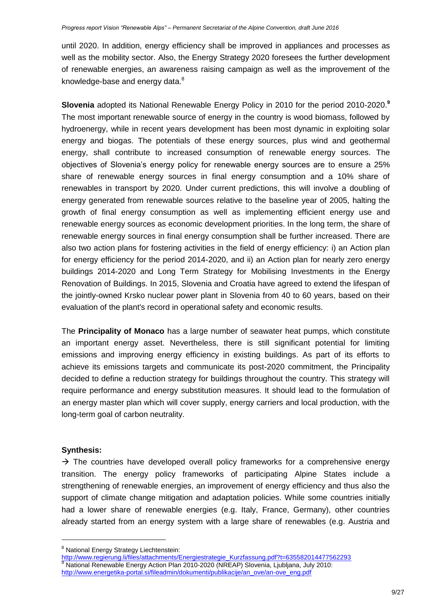until 2020. In addition, energy efficiency shall be improved in appliances and processes as well as the mobility sector. Also, the Energy Strategy 2020 foresees the further development of renewable energies, an awareness raising campaign as well as the improvement of the knowledge-base and energy data.<sup>8</sup>

**Slovenia** adopted its National Renewable Energy Policy in 2010 for the period 2010-2020.**<sup>9</sup>** The most important renewable source of energy in the country is wood biomass, followed by hydroenergy, while in recent years development has been most dynamic in exploiting solar energy and biogas. The potentials of these energy sources, plus wind and geothermal energy, shall contribute to increased consumption of renewable energy sources. The objectives of Slovenia's energy policy for renewable energy sources are to ensure a 25% share of renewable energy sources in final energy consumption and a 10% share of renewables in transport by 2020. Under current predictions, this will involve a doubling of energy generated from renewable sources relative to the baseline year of 2005, halting the growth of final energy consumption as well as implementing efficient energy use and renewable energy sources as economic development priorities. In the long term, the share of renewable energy sources in final energy consumption shall be further increased. There are also two action plans for fostering activities in the field of energy efficiency: i) an Action plan for energy efficiency for the period 2014-2020, and ii) an Action plan for nearly zero energy buildings 2014-2020 and Long Term Strategy for Mobilising Investments in the Energy Renovation of Buildings. In 2015, Slovenia and Croatia have agreed to extend the lifespan of the jointly-owned Krsko nuclear power plant in Slovenia from 40 to 60 years, based on their evaluation of the plant's record in operational safety and economic results.

The **Principality of Monaco** has a large number of seawater heat pumps, which constitute an important energy asset. Nevertheless, there is still significant potential for limiting emissions and improving energy efficiency in existing buildings. As part of its efforts to achieve its emissions targets and communicate its post-2020 commitment, the Principality decided to define a reduction strategy for buildings throughout the country. This strategy will require performance and energy substitution measures. It should lead to the formulation of an energy master plan which will cover supply, energy carriers and local production, with the long-term goal of carbon neutrality.

#### **Synthesis:**

1

 $\rightarrow$  The countries have developed overall policy frameworks for a comprehensive energy transition. The energy policy frameworks of participating Alpine States include a strengthening of renewable energies, an improvement of energy efficiency and thus also the support of climate change mitigation and adaptation policies. While some countries initially had a lower share of renewable energies (e.g. Italy, France, Germany), other countries already started from an energy system with a large share of renewables (e.g. Austria and

<sup>8</sup> National Energy Strategy Liechtenstein:

[http://www.regierung.li/files/attachments/Energiestrategie\\_Kurzfassung.pdf?t=635582014477562293](http://www.regierung.li/files/attachments/Energiestrategie_Kurzfassung.pdf?t=635582014477562293)<br>9 Notional Bonaugh Is Factor: A stipe Plan 0010 0000 (UPE) P. N. Ol

<sup>9</sup> National Renewable Energy Action Plan 2010-2020 (NREAP) Slovenia, Ljubljana, July 2010: [http://www.energetika-portal.si/fileadmin/dokumenti/publikacije/an\\_ove/an-ove\\_eng.pdf](http://www.energetika-portal.si/fileadmin/dokumenti/publikacije/an_ove/an-ove_eng.pdf)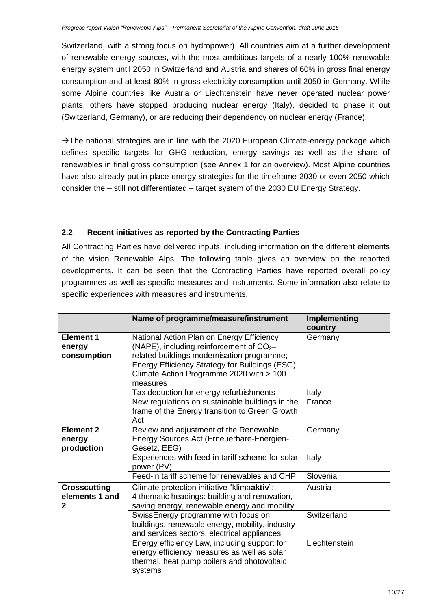Switzerland, with a strong focus on hydropower). All countries aim at a further development of renewable energy sources, with the most ambitious targets of a nearly 100% renewable energy system until 2050 in Switzerland and Austria and shares of 60% in gross final energy consumption and at least 80% in gross electricity consumption until 2050 in Germany. While some Alpine countries like Austria or Liechtenstein have never operated nuclear power plants, others have stopped producing nuclear energy (Italy), decided to phase it out (Switzerland, Germany), or are reducing their dependency on nuclear energy (France).

 $\rightarrow$  The national strategies are in line with the 2020 European Climate-energy package which defines specific targets for GHG reduction, energy savings as well as the share of renewables in final gross consumption (see Annex 1 for an overview). Most Alpine countries have also already put in place energy strategies for the timeframe 2030 or even 2050 which consider the – still not differentiated – target system of the 2030 EU Energy Strategy.

#### <span id="page-9-0"></span>**2.2 Recent initiatives as reported by the Contracting Parties**

All Contracting Parties have delivered inputs, including information on the different elements of the vision Renewable Alps. The following table gives an overview on the reported developments. It can be seen that the Contracting Parties have reported overall policy programmes as well as specific measures and instruments. Some information also relate to specific experiences with measures and instruments.

|                                           | Name of programme/measure/instrument                                                                                                                                                                                                            | Implementing<br>country |
|-------------------------------------------|-------------------------------------------------------------------------------------------------------------------------------------------------------------------------------------------------------------------------------------------------|-------------------------|
| <b>Element 1</b><br>energy<br>consumption | National Action Plan on Energy Efficiency<br>(NAPE), including reinforcement of $CO2$ -<br>related buildings modernisation programme;<br>Energy Efficiency Strategy for Buildings (ESG)<br>Climate Action Programme 2020 with > 100<br>measures | Germany                 |
|                                           | Tax deduction for energy refurbishments                                                                                                                                                                                                         | Italy                   |
|                                           | New regulations on sustainable buildings in the<br>frame of the Energy transition to Green Growth<br>Act                                                                                                                                        | France                  |
| <b>Element 2</b>                          | Review and adjustment of the Renewable                                                                                                                                                                                                          | Germany                 |
| energy<br>production                      | Energy Sources Act (Erneuerbare-Energien-<br>Gesetz, EEG)                                                                                                                                                                                       |                         |
|                                           | Experiences with feed-in tariff scheme for solar<br>power (PV)                                                                                                                                                                                  | Italy                   |
|                                           | Feed-in tariff scheme for renewables and CHP                                                                                                                                                                                                    | Slovenia                |
| <b>Crosscutting</b>                       | Climate protection initiative "klimaaktiv":                                                                                                                                                                                                     | Austria                 |
| elements 1 and<br>$\mathbf 2$             | 4 thematic headings: building and renovation,<br>saving energy, renewable energy and mobility                                                                                                                                                   |                         |
|                                           | SwissEnergy programme with focus on<br>buildings, renewable energy, mobility, industry<br>and services sectors, electrical appliances                                                                                                           | Switzerland             |
|                                           | Energy efficiency Law, including support for<br>energy efficiency measures as well as solar<br>thermal, heat pump boilers and photovoltaic<br>systems                                                                                           | Liechtenstein           |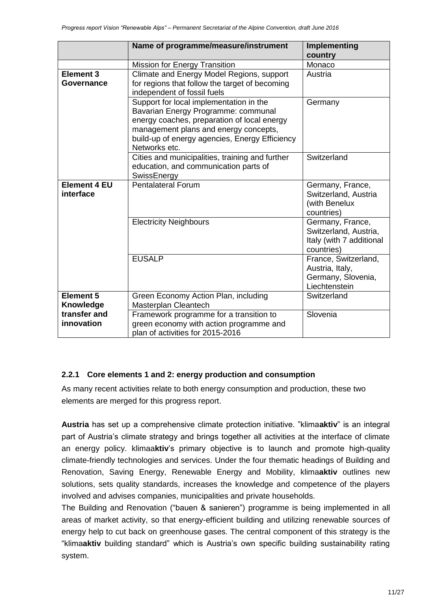|                                  | Name of programme/measure/instrument                                                                                                                                                                                                      | Implementing<br>country                                                             |
|----------------------------------|-------------------------------------------------------------------------------------------------------------------------------------------------------------------------------------------------------------------------------------------|-------------------------------------------------------------------------------------|
|                                  | <b>Mission for Energy Transition</b>                                                                                                                                                                                                      | Monaco                                                                              |
| <b>Element 3</b>                 | Climate and Energy Model Regions, support                                                                                                                                                                                                 | Austria                                                                             |
| Governance                       | for regions that follow the target of becoming<br>independent of fossil fuels                                                                                                                                                             |                                                                                     |
|                                  | Support for local implementation in the<br>Bavarian Energy Programme: communal<br>energy coaches, preparation of local energy<br>management plans and energy concepts,<br>build-up of energy agencies, Energy Efficiency<br>Networks etc. | Germany                                                                             |
|                                  | Cities and municipalities, training and further<br>education, and communication parts of<br>SwissEnergy                                                                                                                                   | Switzerland                                                                         |
| <b>Element 4 EU</b><br>interface | <b>Pentalateral Forum</b>                                                                                                                                                                                                                 | Germany, France,<br>Switzerland, Austria<br>(with Benelux<br>countries)             |
|                                  | <b>Electricity Neighbours</b>                                                                                                                                                                                                             | Germany, France,<br>Switzerland, Austria,<br>Italy (with 7 additional<br>countries) |
|                                  | <b>EUSALP</b>                                                                                                                                                                                                                             | France, Switzerland,<br>Austria, Italy,<br>Germany, Slovenia,<br>Liechtenstein      |
| <b>Element 5</b><br>Knowledge    | Green Economy Action Plan, including<br>Masterplan Cleantech                                                                                                                                                                              | Switzerland                                                                         |
| transfer and<br>innovation       | Framework programme for a transition to<br>green economy with action programme and<br>plan of activities for 2015-2016                                                                                                                    | Slovenia                                                                            |

#### <span id="page-10-0"></span>**2.2.1 Core elements 1 and 2: energy production and consumption**

As many recent activities relate to both energy consumption and production, these two elements are merged for this progress report.

**Austria** has set up a comprehensive climate protection initiative. "klima**aktiv**" is an integral part of Austria's climate strategy and brings together all activities at the interface of climate an energy policy. klimaa**ktiv**'s primary objective is to launch and promote high-quality climate-friendly technologies and services. Under the four thematic headings of Building and Renovation, Saving Energy, Renewable Energy and Mobility, klima**aktiv** outlines new solutions, sets quality standards, increases the knowledge and competence of the players involved and advises companies, municipalities and private households.

The Building and Renovation ("bauen & sanieren") programme is being implemented in all areas of market activity, so that energy-efficient building and utilizing renewable sources of energy help to cut back on greenhouse gases. The central component of this strategy is the "klima**aktiv** building standard" which is Austria's own specific building sustainability rating system.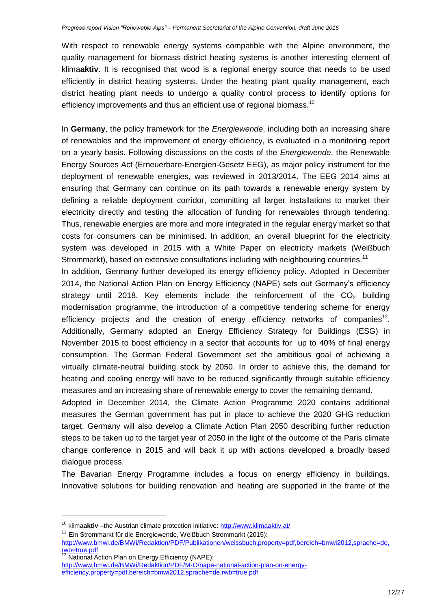With respect to renewable energy systems compatible with the Alpine environment, the quality management for biomass district heating systems is another interesting element of klima**aktiv**. It is recognised that wood is a regional energy source that needs to be used efficiently in district heating systems. Under the heating plant quality management, each district heating plant needs to undergo a quality control process to identify options for efficiency improvements and thus an efficient use of regional biomass.<sup>10</sup>

In **Germany**, the policy framework for the *Energiewende*, including both an increasing share of renewables and the improvement of energy efficiency, is evaluated in a monitoring report on a yearly basis. Following discussions on the costs of the *Energiewende*, the Renewable Energy Sources Act (Erneuerbare-Energien-Gesetz EEG), as major policy instrument for the deployment of renewable energies, was reviewed in 2013/2014. The EEG 2014 aims at ensuring that Germany can continue on its path towards a renewable energy system by defining a reliable deployment corridor, committing all larger installations to market their electricity directly and testing the allocation of funding for renewables through tendering. Thus, renewable energies are more and more integrated in the regular energy market so that costs for consumers can be minimised. In addition, an overall blueprint for the electricity system was developed in 2015 with a White Paper on electricity markets (Weißbuch Strommarkt), based on extensive consultations including with neighbouring countries.<sup>11</sup>

In addition, Germany further developed its energy efficiency policy. Adopted in December 2014, the National Action Plan on Energy Efficiency (NAPE) sets out Germany's efficiency strategy until 2018. Key elements include the reinforcement of the  $CO<sub>2</sub>$  building modernisation programme, the introduction of a competitive tendering scheme for energy efficiency projects and the creation of energy efficiency networks of companies<sup>12</sup>. Additionally, Germany adopted an Energy Efficiency Strategy for Buildings (ESG) in November 2015 to boost efficiency in a sector that accounts for up to 40% of final energy consumption. The German Federal Government set the ambitious goal of achieving a virtually climate-neutral building stock by 2050. In order to achieve this, the demand for heating and cooling energy will have to be reduced significantly through suitable efficiency measures and an increasing share of renewable energy to cover the remaining demand.

Adopted in December 2014, the Climate Action Programme 2020 contains additional measures the German government has put in place to achieve the 2020 GHG reduction target. Germany will also develop a Climate Action Plan 2050 describing further reduction steps to be taken up to the target year of 2050 in the light of the outcome of the Paris climate change conference in 2015 and will back it up with actions developed a broadly based dialogue process.

The Bavarian Energy Programme includes a focus on energy efficiency in buildings. Innovative solutions for building renovation and heating are supported in the frame of the

1

National Action Plan on Energy Efficiency (NAPE): [http://www.bmwi.de/BMWi/Redaktion/PDF/M-O/nape-national-action-plan-on-energy](http://www.bmwi.de/BMWi/Redaktion/PDF/M-O/nape-national-action-plan-on-energy-efficiency,property=pdf,bereich=bmwi2012,sprache=de,rwb=true.pdf)[efficiency,property=pdf,bereich=bmwi2012,sprache=de,rwb=true.pdf](http://www.bmwi.de/BMWi/Redaktion/PDF/M-O/nape-national-action-plan-on-energy-efficiency,property=pdf,bereich=bmwi2012,sprache=de,rwb=true.pdf)

<sup>&</sup>lt;sup>10</sup> klimaaktiv –the Austrian climate protection initiative:<http://www.klimaaktiv.at/>

<sup>&</sup>lt;sup>11</sup> Ein Strommarkt für die Energiewende, Weißbuch Strommarkt (2015):

[http://www.bmwi.de/BMWi/Redaktion/PDF/Publikationen/weissbuch,property=pdf,bereich=bmwi2012,sprache=de,](http://www.bmwi.de/BMWi/Redaktion/PDF/Publikationen/weissbuch,property=pdf,bereich=bmwi2012,sprache=de,rwb=true.pdf) [rwb=true.pdf](http://www.bmwi.de/BMWi/Redaktion/PDF/Publikationen/weissbuch,property=pdf,bereich=bmwi2012,sprache=de,rwb=true.pdf)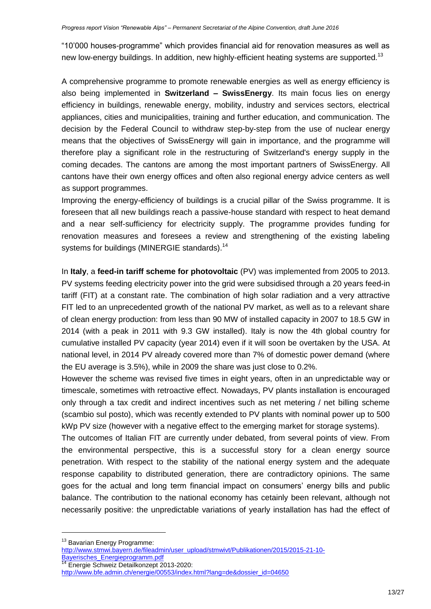"10'000 houses-programme" which provides financial aid for renovation measures as well as new low-energy buildings. In addition, new highly-efficient heating systems are supported.<sup>13</sup>

A comprehensive programme to promote renewable energies as well as energy efficiency is also being implemented in **Switzerland – SwissEnergy**. Its main focus lies on energy efficiency in buildings, renewable energy, mobility, industry and services sectors, electrical appliances, cities and municipalities, training and further education, and communication. The decision by the Federal Council to withdraw step-by-step from the use of nuclear energy means that the objectives of SwissEnergy will gain in importance, and the programme will therefore play a significant role in the restructuring of Switzerland's energy supply in the coming decades. The cantons are among the most important partners of SwissEnergy. All cantons have their own energy offices and often also regional energy advice centers as well as support programmes.

Improving the energy-efficiency of buildings is a crucial pillar of the Swiss programme. It is foreseen that all new buildings reach a passive-house standard with respect to heat demand and a near self-sufficiency for electricity supply. The programme provides funding for renovation measures and foresees a review and strengthening of the existing labeling systems for buildings (MINERGIE standards).<sup>14</sup>

In **Italy**, a **feed-in tariff scheme for photovoltaic** (PV) was implemented from 2005 to 2013. PV systems feeding electricity power into the grid were subsidised through a 20 years feed-in tariff (FIT) at a constant rate. The combination of high solar radiation and a very attractive FIT led to an unprecedented growth of the national PV market, as well as to a relevant share of clean energy production: from less than 90 MW of installed capacity in 2007 to 18.5 GW in 2014 (with a peak in 2011 with 9.3 GW installed). Italy is now the 4th global country for cumulative installed PV capacity (year 2014) even if it will soon be overtaken by the USA. At national level, in 2014 PV already covered more than 7% of domestic power demand (where the EU average is 3.5%), while in 2009 the share was just close to 0.2%.

However the scheme was revised five times in eight years, often in an unpredictable way or timescale, sometimes with retroactive effect. Nowadays, PV plants installation is encouraged only through a tax credit and indirect incentives such as net metering / net billing scheme (scambio sul posto), which was recently extended to PV plants with nominal power up to 500 kWp PV size (however with a negative effect to the emerging market for storage systems).

The outcomes of Italian FIT are currently under debated, from several points of view. From the environmental perspective, this is a successful story for a clean energy source penetration. With respect to the stability of the national energy system and the adequate response capability to distributed generation, there are contradictory opinions. The same goes for the actual and long term financial impact on consumers' energy bills and public balance. The contribution to the national economy has cetainly been relevant, although not necessarily positive: the unpredictable variations of yearly installation has had the effect of

<sup>13</sup> Bavarian Energy Programme:

-

Energie Schweiz Detailkonzept 2013-2020: [http://www.bfe.admin.ch/energie/00553/index.html?lang=de&dossier\\_id=04650](http://www.bfe.admin.ch/energie/00553/index.html?lang=de&dossier_id=04650)

[http://www.stmwi.bayern.de/fileadmin/user\\_upload/stmwivt/Publikationen/2015/2015-21-10-](http://www.stmwi.bayern.de/fileadmin/user_upload/stmwivt/Publikationen/2015/2015-21-10-Bayerisches_Energieprogramm.pdf) [Bayerisches\\_Energieprogramm.pdf](http://www.stmwi.bayern.de/fileadmin/user_upload/stmwivt/Publikationen/2015/2015-21-10-Bayerisches_Energieprogramm.pdf)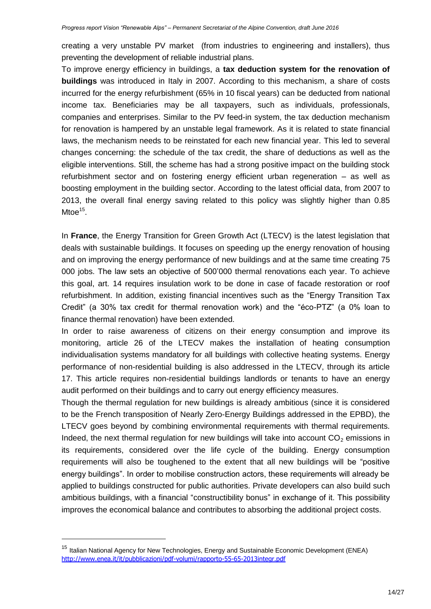creating a very unstable PV market (from industries to engineering and installers), thus preventing the development of reliable industrial plans.

To improve energy efficiency in buildings, a **tax deduction system for the renovation of buildings** was introduced in Italy in 2007. According to this mechanism, a share of costs incurred for the energy refurbishment (65% in 10 fiscal years) can be deducted from national income tax. Beneficiaries may be all taxpayers, such as individuals, professionals, companies and enterprises. Similar to the PV feed-in system, the tax deduction mechanism for renovation is hampered by an unstable legal framework. As it is related to state financial laws, the mechanism needs to be reinstated for each new financial year. This led to several changes concerning: the schedule of the tax credit, the share of deductions as well as the eligible interventions. Still, the scheme has had a strong positive impact on the building stock refurbishment sector and on fostering energy efficient urban regeneration – as well as boosting employment in the building sector. According to the latest official data, from 2007 to 2013, the overall final energy saving related to this policy was slightly higher than 0.85 Mtoe<sup>15</sup>.

In **France**, the Energy Transition for Green Growth Act (LTECV) is the latest legislation that deals with sustainable buildings. It focuses on speeding up the energy renovation of housing and on improving the energy performance of new buildings and at the same time creating 75 000 jobs. The law sets an objective of 500'000 thermal renovations each year. To achieve this goal, art. 14 requires insulation work to be done in case of facade restoration or roof refurbishment. In addition, existing financial incentives such as the "Energy Transition Tax Credit" (a 30% tax credit for thermal renovation work) and the "éco-PTZ" (a 0% loan to finance thermal renovation) have been extended.

In order to raise awareness of citizens on their energy consumption and improve its monitoring, article 26 of the LTECV makes the installation of heating consumption individualisation systems mandatory for all buildings with collective heating systems. Energy performance of non-residential building is also addressed in the LTECV, through its article 17. This article requires non-residential buildings landlords or tenants to have an energy audit performed on their buildings and to carry out energy efficiency measures.

Though the thermal regulation for new buildings is already ambitious (since it is considered to be the French transposition of Nearly Zero-Energy Buildings addressed in the EPBD), the LTECV goes beyond by combining environmental requirements with thermal requirements. Indeed, the next thermal regulation for new buildings will take into account  $CO<sub>2</sub>$  emissions in its requirements, considered over the life cycle of the building. Energy consumption requirements will also be toughened to the extent that all new buildings will be "positive energy buildings". In order to mobilise construction actors, these requirements will already be applied to buildings constructed for public authorities. Private developers can also build such ambitious buildings, with a financial "constructibility bonus" in exchange of it. This possibility improves the economical balance and contributes to absorbing the additional project costs.

1

<sup>&</sup>lt;sup>15</sup> Italian National Agency for New Technologies, Energy and Sustainable Economic Development (ENEA) <http://www.enea.it/it/pubblicazioni/pdf-volumi/rapporto-55-65-2013integr.pdf>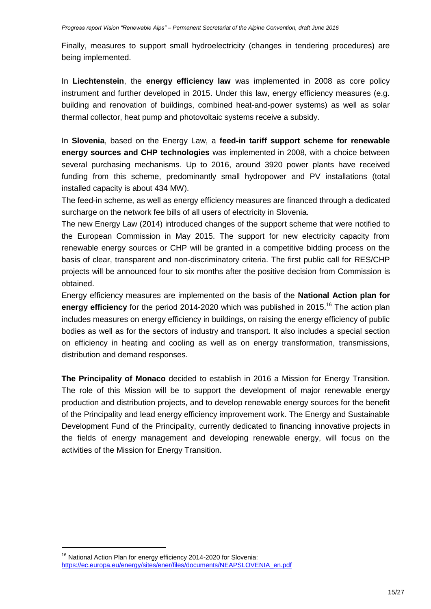Finally, measures to support small hydroelectricity (changes in tendering procedures) are being implemented.

In **Liechtenstein**, the **energy efficiency law** was implemented in 2008 as core policy instrument and further developed in 2015. Under this law, energy efficiency measures (e.g. building and renovation of buildings, combined heat-and-power systems) as well as solar thermal collector, heat pump and photovoltaic systems receive a subsidy.

In **Slovenia**, based on the Energy Law, a **feed-in tariff support scheme for renewable energy sources and CHP technologies** was implemented in 2008, with a choice between several purchasing mechanisms. Up to 2016, around 3920 power plants have received funding from this scheme, predominantly small hydropower and PV installations (total installed capacity is about 434 MW).

The feed-in scheme, as well as energy efficiency measures are financed through a dedicated surcharge on the network fee bills of all users of electricity in Slovenia.

The new Energy Law (2014) introduced changes of the support scheme that were notified to the European Commission in May 2015. The support for new electricity capacity from renewable energy sources or CHP will be granted in a competitive bidding process on the basis of clear, transparent and non-discriminatory criteria. The first public call for RES/CHP projects will be announced four to six months after the positive decision from Commission is obtained.

Energy efficiency measures are implemented on the basis of the **National Action plan for**  energy efficiency for the period 2014-2020 which was published in 2015.<sup>16</sup> The action plan includes measures on energy efficiency in buildings, on raising the energy efficiency of public bodies as well as for the sectors of industry and transport. It also includes a special section on efficiency in heating and cooling as well as on energy transformation, transmissions, distribution and demand responses.

**The Principality of Monaco** decided to establish in 2016 a Mission for Energy Transition. The role of this Mission will be to support the development of major renewable energy production and distribution projects, and to develop renewable energy sources for the benefit of the Principality and lead energy efficiency improvement work. The Energy and Sustainable Development Fund of the Principality, currently dedicated to financing innovative projects in the fields of energy management and developing renewable energy, will focus on the activities of the Mission for Energy Transition.

<sup>&</sup>lt;sup>16</sup> National Action Plan for energy efficiency 2014-2020 for Slovenia: [https://ec.europa.eu/energy/sites/ener/files/documents/NEAPSLOVENIA\\_en.pdf](https://ec.europa.eu/energy/sites/ener/files/documents/NEAPSLOVENIA_en.pdf)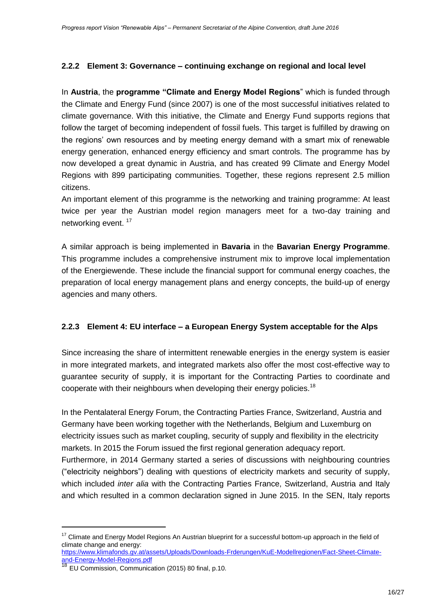#### <span id="page-15-0"></span>**2.2.2 Element 3: Governance – continuing exchange on regional and local level**

In **Austria**, the **programme "Climate and Energy Model Regions**" which is funded through the Climate and Energy Fund (since 2007) is one of the most successful initiatives related to climate governance. With this initiative, the Climate and Energy Fund supports regions that follow the target of becoming independent of fossil fuels. This target is fulfilled by drawing on the regions' own resources and by meeting energy demand with a smart mix of renewable energy generation, enhanced energy efficiency and smart controls. The programme has by now developed a great dynamic in Austria, and has created 99 Climate and Energy Model Regions with 899 participating communities. Together, these regions represent 2.5 million citizens.

An important element of this programme is the networking and training programme: At least twice per year the Austrian model region managers meet for a two-day training and networking event.<sup>17</sup>

A similar approach is being implemented in **Bavaria** in the **Bavarian Energy Programme**. This programme includes a comprehensive instrument mix to improve local implementation of the Energiewende. These include the financial support for communal energy coaches, the preparation of local energy management plans and energy concepts, the build-up of energy agencies and many others.

#### <span id="page-15-1"></span>**2.2.3 Element 4: EU interface – a European Energy System acceptable for the Alps**

Since increasing the share of intermittent renewable energies in the energy system is easier in more integrated markets, and integrated markets also offer the most cost-effective way to guarantee security of supply, it is important for the Contracting Parties to coordinate and cooperate with their neighbours when developing their energy policies.<sup>18</sup>

In the Pentalateral Energy Forum, the Contracting Parties France, Switzerland, Austria and Germany have been working together with the Netherlands, Belgium and Luxemburg on electricity issues such as market coupling, security of supply and flexibility in the electricity markets. In 2015 the Forum issued the first regional generation adequacy report. Furthermore, in 2014 Germany started a series of discussions with neighbouring countries ("electricity neighbors") dealing with questions of electricity markets and security of supply, which included *inter alia* with the Contracting Parties France, Switzerland, Austria and Italy and which resulted in a common declaration signed in June 2015. In the SEN, Italy reports

<sup>&</sup>lt;sup>17</sup> Climate and Energy Model Regions An Austrian blueprint for a successful bottom-up approach in the field of climate change and energy: [https://www.klimafonds.gv.at/assets/Uploads/Downloads-Frderungen/KuE-Modellregionen/Fact-Sheet-Climate-](https://www.klimafonds.gv.at/assets/Uploads/Downloads-Frderungen/KuE-Modellregionen/Fact-Sheet-Climate-and-Energy-Model-Regions.pdf)

[and-Energy-Model-Regions.pdf](https://www.klimafonds.gv.at/assets/Uploads/Downloads-Frderungen/KuE-Modellregionen/Fact-Sheet-Climate-and-Energy-Model-Regions.pdf)

<sup>&</sup>lt;sup>18</sup> EU Commission, Communication (2015) 80 final, p.10.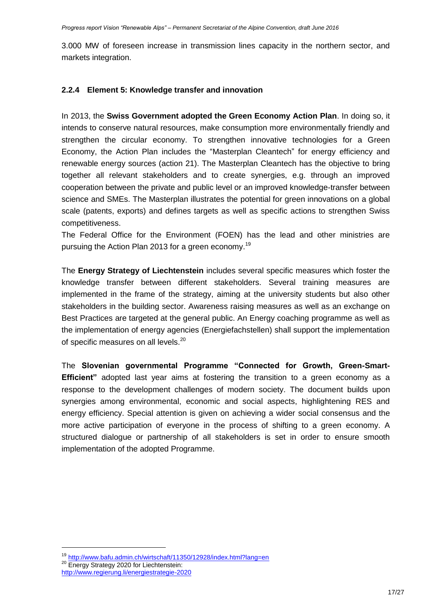3.000 MW of foreseen increase in transmission lines capacity in the northern sector, and markets integration.

#### <span id="page-16-0"></span>**2.2.4 Element 5: Knowledge transfer and innovation**

In 2013, the **Swiss Government adopted the Green Economy Action Plan**. In doing so, it intends to conserve natural resources, make consumption more environmentally friendly and strengthen the circular economy. To strengthen innovative technologies for a Green Economy, the Action Plan includes the "Masterplan Cleantech" for energy efficiency and renewable energy sources (action 21). The Masterplan Cleantech has the objective to bring together all relevant stakeholders and to create synergies, e.g. through an improved cooperation between the private and public level or an improved knowledge-transfer between science and SMEs. The Masterplan illustrates the potential for green innovations on a global scale (patents, exports) and defines targets as well as specific actions to strengthen Swiss competitiveness.

The Federal Office for the Environment (FOEN) has the lead and other ministries are pursuing the Action Plan 2013 for a green economy.<sup>19</sup>

The **Energy Strategy of Liechtenstein** includes several specific measures which foster the knowledge transfer between different stakeholders. Several training measures are implemented in the frame of the strategy, aiming at the university students but also other stakeholders in the building sector. Awareness raising measures as well as an exchange on Best Practices are targeted at the general public. An Energy coaching programme as well as the implementation of energy agencies (Energiefachstellen) shall support the implementation of specific measures on all levels.<sup>20</sup>

The **Slovenian governmental Programme "Connected for Growth, Green-Smart-Efficient"** adopted last year aims at fostering the transition to a green economy as a response to the development challenges of modern society. The document builds upon synergies among environmental, economic and social aspects, highlightening RES and energy efficiency. Special attention is given on achieving a wider social consensus and the more active participation of everyone in the process of shifting to a green economy. A structured dialogue or partnership of all stakeholders is set in order to ensure smooth implementation of the adopted Programme.

<sup>19</sup> <http://www.bafu.admin.ch/wirtschaft/11350/12928/index.html?lang=en>

<sup>20</sup> Energy Strategy 2020 for Liechtenstein:

<http://www.regierung.li/energiestrategie-2020>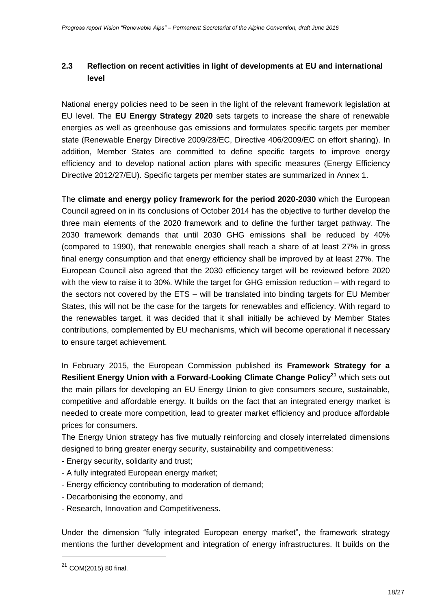#### <span id="page-17-0"></span>**2.3 Reflection on recent activities in light of developments at EU and international level**

National energy policies need to be seen in the light of the relevant framework legislation at EU level. The **EU Energy Strategy 2020** sets targets to increase the share of renewable energies as well as greenhouse gas emissions and formulates specific targets per member state (Renewable Energy Directive 2009/28/EC, Directive 406/2009/EC on effort sharing). In addition, Member States are committed to define specific targets to improve energy efficiency and to develop national action plans with specific measures (Energy Efficiency Directive 2012/27/EU). Specific targets per member states are summarized in Annex 1.

The **climate and energy policy framework for the period 2020-2030** which the European Council agreed on in its conclusions of October 2014 has the objective to further develop the three main elements of the 2020 framework and to define the further target pathway. The 2030 framework demands that until 2030 GHG emissions shall be reduced by 40% (compared to 1990), that renewable energies shall reach a share of at least 27% in gross final energy consumption and that energy efficiency shall be improved by at least 27%. The European Council also agreed that the 2030 efficiency target will be reviewed before 2020 with the view to raise it to 30%. While the target for GHG emission reduction – with regard to the sectors not covered by the ETS – will be translated into binding targets for EU Member States, this will not be the case for the targets for renewables and efficiency. With regard to the renewables target, it was decided that it shall initially be achieved by Member States contributions, complemented by EU mechanisms, which will become operational if necessary to ensure target achievement.

In February 2015, the European Commission published its **Framework Strategy for a Resilient Energy Union with a Forward-Looking Climate Change Policy<sup>21</sup>** which sets out the main pillars for developing an EU Energy Union to give consumers secure, sustainable, competitive and affordable energy. It builds on the fact that an integrated energy market is needed to create more competition, lead to greater market efficiency and produce affordable prices for consumers.

The Energy Union strategy has five mutually reinforcing and closely interrelated dimensions designed to bring greater energy security, sustainability and competitiveness:

- Energy security, solidarity and trust;
- A fully integrated European energy market;
- Energy efficiency contributing to moderation of demand;
- Decarbonising the economy, and
- Research, Innovation and Competitiveness.

Under the dimension "fully integrated European energy market", the framework strategy mentions the further development and integration of energy infrastructures. It builds on the

1

 $21$  COM(2015) 80 final.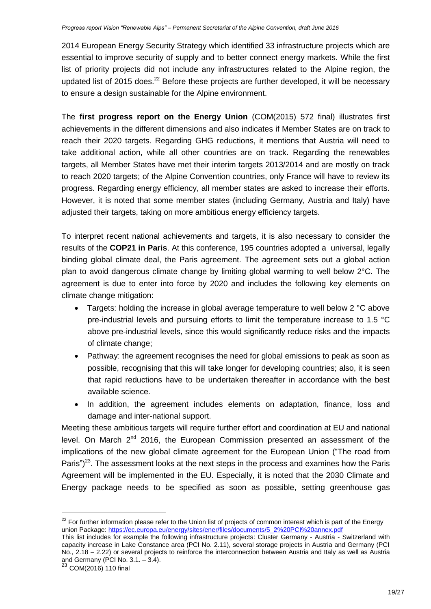2014 European Energy Security Strategy which identified 33 infrastructure projects which are essential to improve security of supply and to better connect energy markets. While the first list of priority projects did not include any infrastructures related to the Alpine region, the updated list of 2015 does.<sup>22</sup> Before these projects are further developed, it will be necessary to ensure a design sustainable for the Alpine environment.

The **first progress report on the Energy Union** (COM(2015) 572 final) illustrates first achievements in the different dimensions and also indicates if Member States are on track to reach their 2020 targets. Regarding GHG reductions, it mentions that Austria will need to take additional action, while all other countries are on track. Regarding the renewables targets, all Member States have met their interim targets 2013/2014 and are mostly on track to reach 2020 targets; of the Alpine Convention countries, only France will have to review its progress. Regarding energy efficiency, all member states are asked to increase their efforts. However, it is noted that some member states (including Germany, Austria and Italy) have adjusted their targets, taking on more ambitious energy efficiency targets.

To interpret recent national achievements and targets, it is also necessary to consider the results of the **COP21 in Paris**. At this conference, 195 countries adopted a universal, legally binding global climate deal, the Paris agreement. The agreement sets out a global action plan to avoid dangerous climate change by limiting global warming to well below 2°C. The agreement is due to enter into force by 2020 and includes the following key elements on climate change mitigation:

- Targets: holding the increase in global average temperature to well below 2 °C above pre-industrial levels and pursuing efforts to limit the temperature increase to 1.5 °C above pre-industrial levels, since this would significantly reduce risks and the impacts of climate change;
- Pathway: the agreement recognises the need for global emissions to peak as soon as possible, recognising that this will take longer for developing countries; also, it is seen that rapid reductions have to be undertaken thereafter in accordance with the best available science.
- In addition, the agreement includes elements on adaptation, finance, loss and damage and inter-national support.

Meeting these ambitious targets will require further effort and coordination at EU and national level. On March  $2^{nd}$  2016, the European Commission presented an assessment of the implications of the new global climate agreement for the European Union ("The road from Paris") $^{23}$ . The assessment looks at the next steps in the process and examines how the Paris Agreement will be implemented in the EU. Especially, it is noted that the 2030 Climate and Energy package needs to be specified as soon as possible, setting greenhouse gas

This list includes for example the following infrastructure projects: Cluster Germany - Austria - Switzerland with capacity increase in Lake Constance area (PCI No. 2.11), several storage projects in Austria and Germany (PCI No., 2.18 – 2.22) or several projects to reinforce the interconnection between Austria and Italy as well as Austria and Germany (PCI No. 3.1. – 3.4).

 $\overline{a}$ 

<sup>&</sup>lt;sup>22</sup> For further information please refer to the Union list of projects of common interest which is part of the Energy union Package[: https://ec.europa.eu/energy/sites/ener/files/documents/5\\_2%20PCI%20annex.pdf](https://ec.europa.eu/energy/sites/ener/files/documents/5_2%20PCI%20annex.pdf)

<sup>23</sup> COM(2016) 110 final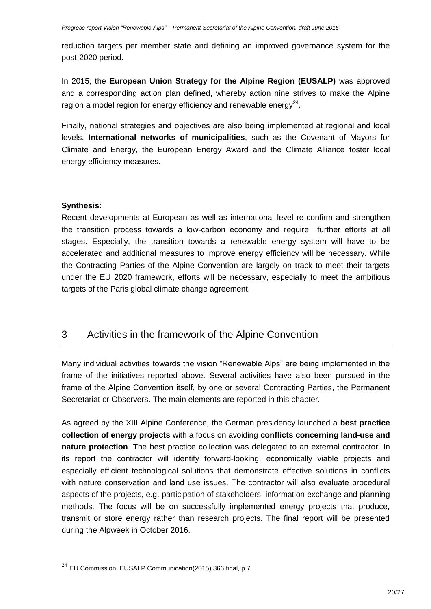reduction targets per member state and defining an improved governance system for the post-2020 period.

In 2015, the **European Union Strategy for the Alpine Region (EUSALP)** was approved and a corresponding action plan defined, whereby action nine strives to make the Alpine region a model region for energy efficiency and renewable energy $^{24}$ .

Finally, national strategies and objectives are also being implemented at regional and local levels. **International networks of municipalities**, such as the Covenant of Mayors for Climate and Energy, the European Energy Award and the Climate Alliance foster local energy efficiency measures.

#### **Synthesis:**

1

Recent developments at European as well as international level re-confirm and strengthen the transition process towards a low-carbon economy and require further efforts at all stages. Especially, the transition towards a renewable energy system will have to be accelerated and additional measures to improve energy efficiency will be necessary. While the Contracting Parties of the Alpine Convention are largely on track to meet their targets under the EU 2020 framework, efforts will be necessary, especially to meet the ambitious targets of the Paris global climate change agreement.

### <span id="page-19-0"></span>3 Activities in the framework of the Alpine Convention

Many individual activities towards the vision "Renewable Alps" are being implemented in the frame of the initiatives reported above. Several activities have also been pursued in the frame of the Alpine Convention itself, by one or several Contracting Parties, the Permanent Secretariat or Observers. The main elements are reported in this chapter.

As agreed by the XIII Alpine Conference, the German presidency launched a **best practice collection of energy projects** with a focus on avoiding **conflicts concerning land-use and nature protection**. The best practice collection was delegated to an external contractor. In its report the contractor will identify forward-looking, economically viable projects and especially efficient technological solutions that demonstrate effective solutions in conflicts with nature conservation and land use issues. The contractor will also evaluate procedural aspects of the projects, e.g. participation of stakeholders, information exchange and planning methods. The focus will be on successfully implemented energy projects that produce, transmit or store energy rather than research projects. The final report will be presented during the Alpweek in October 2016.

<sup>&</sup>lt;sup>24</sup> EU Commission, EUSALP Communication(2015) 366 final, p.7.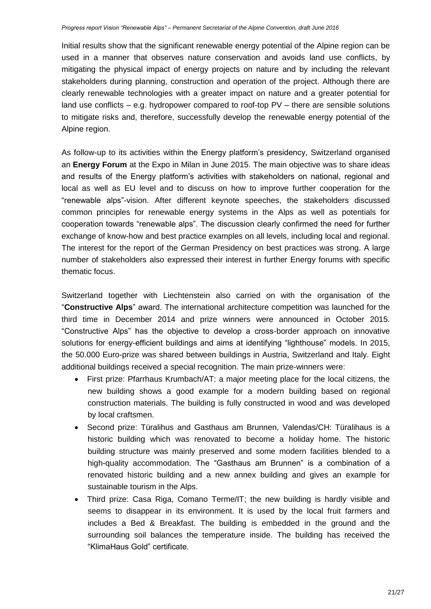Initial results show that the significant renewable energy potential of the Alpine region can be used in a manner that observes nature conservation and avoids land use conflicts, by mitigating the physical impact of energy projects on nature and by including the relevant stakeholders during planning, construction and operation of the project. Although there are clearly renewable technologies with a greater impact on nature and a greater potential for land use conflicts  $-$  e.g. hydropower compared to roof-top  $PV$  – there are sensible solutions to mitigate risks and, therefore, successfully develop the renewable energy potential of the Alpine region.

As follow-up to its activities within the Energy platform's presidency, Switzerland organised an **Energy Forum** at the Expo in Milan in June 2015. The main objective was to share ideas and results of the Energy platform's activities with stakeholders on national, regional and local as well as EU level and to discuss on how to improve further cooperation for the "renewable alps"-vision. After different keynote speeches, the stakeholders discussed common principles for renewable energy systems in the Alps as well as potentials for cooperation towards "renewable alps". The discussion clearly confirmed the need for further exchange of know-how and best practice examples on all levels, including local and regional. The interest for the report of the German Presidency on best practices was strong. A large number of stakeholders also expressed their interest in further Energy forums with specific thematic focus.

Switzerland together with Liechtenstein also carried on with the organisation of the "**Constructive Alps**" award. The international architecture competition was launched for the third time in December 2014 and prize winners were announced in October 2015. "Constructive Alps" has the objective to develop a cross-border approach on innovative solutions for energy-efficient buildings and aims at identifying "lighthouse" models. In 2015, the 50.000 Euro-prize was shared between buildings in Austria, Switzerland and Italy. Eight additional buildings received a special recognition. The main prize-winners were:

- First prize: Pfarrhaus Krumbach/AT: a major meeting place for the local citizens, the new building shows a good example for a modern building based on regional construction materials. The building is fully constructed in wood and was developed by local craftsmen.
- Second prize: Türalihus and Gasthaus am Brunnen, Valendas/CH: Türalihaus is a historic building which was renovated to become a holiday home. The historic building structure was mainly preserved and some modern facilities blended to a high-quality accommodation. The "Gasthaus am Brunnen" is a combination of a renovated historic building and a new annex building and gives an example for sustainable tourism in the Alps.
- Third prize: Casa Riga, Comano Terme/IT; the new building is hardly visible and seems to disappear in its environment. It is used by the local fruit farmers and includes a Bed & Breakfast. The building is embedded in the ground and the surrounding soil balances the temperature inside. The building has received the "KlimaHaus Gold" certificate.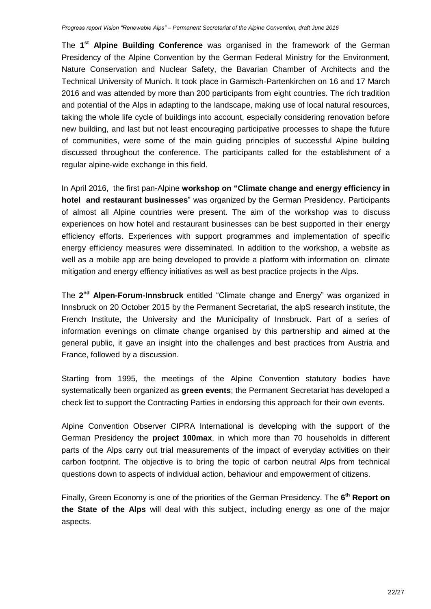The **1 st Alpine Building Conference** was organised in the framework of the German Presidency of the Alpine Convention by the German Federal Ministry for the Environment, Nature Conservation and Nuclear Safety, the Bavarian Chamber of Architects and the Technical University of Munich. It took place in Garmisch-Partenkirchen on 16 and 17 March 2016 and was attended by more than 200 participants from eight countries. The rich tradition and potential of the Alps in adapting to the landscape, making use of local natural resources, taking the whole life cycle of buildings into account, especially considering renovation before new building, and last but not least encouraging participative processes to shape the future of communities, were some of the main guiding principles of successful Alpine building discussed throughout the conference. The participants called for the establishment of a regular alpine-wide exchange in this field.

In April 2016, the first pan-Alpine **workshop on "Climate change and energy efficiency in hotel and restaurant businesses**" was organized by the German Presidency. Participants of almost all Alpine countries were present. The aim of the workshop was to discuss experiences on how hotel and restaurant businesses can be best supported in their energy efficiency efforts. Experiences with support programmes and implementation of specific energy efficiency measures were disseminated. In addition to the workshop, a website as well as a mobile app are being developed to provide a platform with information on climate mitigation and energy effiency initiatives as well as best practice projects in the Alps.

The **2 nd Alpen-Forum-Innsbruck** entitled "Climate change and Energy" was organized in Innsbruck on 20 October 2015 by the Permanent Secretariat, the alpS research institute, the French Institute, the University and the Municipality of Innsbruck. Part of a series of information evenings on climate change organised by this partnership and aimed at the general public, it gave an insight into the challenges and best practices from Austria and France, followed by a discussion.

Starting from 1995, the meetings of the Alpine Convention statutory bodies have systematically been organized as **green events**; the Permanent Secretariat has developed a check list to support the Contracting Parties in endorsing this approach for their own events.

Alpine Convention Observer CIPRA International is developing with the support of the German Presidency the **project 100max**, in which more than 70 households in different parts of the Alps carry out trial measurements of the impact of everyday activities on their carbon footprint. The objective is to bring the topic of carbon neutral Alps from technical questions down to aspects of individual action, behaviour and empowerment of citizens.

Finally, Green Economy is one of the priorities of the German Presidency. The 6<sup>th</sup> Report on **the State of the Alps** will deal with this subject, including energy as one of the major aspects.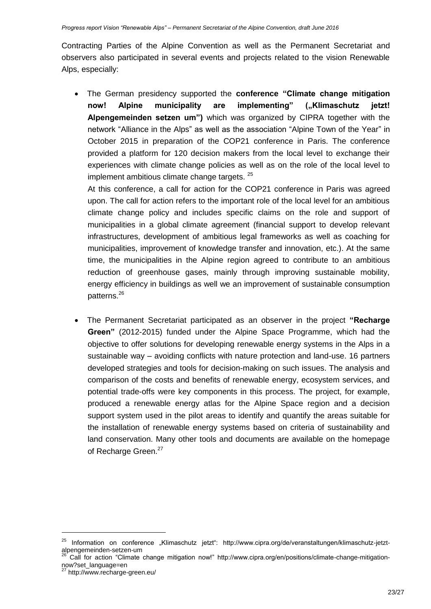Contracting Parties of the Alpine Convention as well as the Permanent Secretariat and observers also participated in several events and projects related to the vision Renewable Alps, especially:

 The German presidency supported the **conference "Climate change mitigation** now! Alpine municipality are implementing" ("Klimaschutz jetzt! **Alpengemeinden setzen um")** which was organized by CIPRA together with the network "Alliance in the Alps" as well as the association "Alpine Town of the Year" in October 2015 in preparation of the COP21 conference in Paris. The conference provided a platform for 120 decision makers from the local level to exchange their experiences with climate change policies as well as on the role of the local level to implement ambitious climate change targets. <sup>25</sup>

At this conference, a call for action for the COP21 conference in Paris was agreed upon. The call for action refers to the important role of the local level for an ambitious climate change policy and includes specific claims on the role and support of municipalities in a global climate agreement (financial support to develop relevant infrastructures, development of ambitious legal frameworks as well as coaching for municipalities, improvement of knowledge transfer and innovation, etc.). At the same time, the municipalities in the Alpine region agreed to contribute to an ambitious reduction of greenhouse gases, mainly through improving sustainable mobility, energy efficiency in buildings as well we an improvement of sustainable consumption patterns.<sup>26</sup>

 The Permanent Secretariat participated as an observer in the project **"Recharge Green"** (2012-2015) funded under the Alpine Space Programme, which had the objective to offer solutions for developing renewable energy systems in the Alps in a sustainable way – avoiding conflicts with nature protection and land-use. 16 partners developed strategies and tools for decision-making on such issues. The analysis and comparison of the costs and benefits of renewable energy, ecosystem services, and potential trade-offs were key components in this process. The project, for example, produced a renewable energy atlas for the Alpine Space region and a decision support system used in the pilot areas to identify and quantify the areas suitable for the installation of renewable energy systems based on criteria of sustainability and land conservation. Many other tools and documents are available on the homepage of Recharge Green.<sup>27</sup>

<sup>&</sup>lt;sup>25</sup> Information on conference "Klimaschutz jetzt": http://www.cipra.org/de/veranstaltungen/klimaschutz-jetztalpengemeinden-setzen-um

<sup>26</sup> Call for action "Climate change mitigation now!" http://www.cipra.org/en/positions/climate-change-mitigationnow?set\_language=en

<sup>&</sup>lt;sup>27</sup> http://www.recharge-green.eu/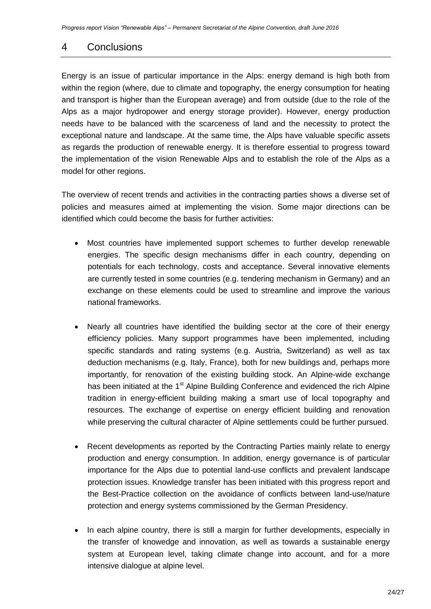#### <span id="page-23-0"></span>4 Conclusions

Energy is an issue of particular importance in the Alps: energy demand is high both from within the region (where, due to climate and topography, the energy consumption for heating and transport is higher than the European average) and from outside (due to the role of the Alps as a major hydropower and energy storage provider). However, energy production needs have to be balanced with the scarceness of land and the necessity to protect the exceptional nature and landscape. At the same time, the Alps have valuable specific assets as regards the production of renewable energy. It is therefore essential to progress toward the implementation of the vision Renewable Alps and to establish the role of the Alps as a model for other regions.

The overview of recent trends and activities in the contracting parties shows a diverse set of policies and measures aimed at implementing the vision. Some major directions can be identified which could become the basis for further activities:

- Most countries have implemented support schemes to further develop renewable energies. The specific design mechanisms differ in each country, depending on potentials for each technology, costs and acceptance. Several innovative elements are currently tested in some countries (e.g. tendering mechanism in Germany) and an exchange on these elements could be used to streamline and improve the various national frameworks.
- Nearly all countries have identified the building sector at the core of their energy efficiency policies. Many support programmes have been implemented, including specific standards and rating systems (e.g. Austria, Switzerland) as well as tax deduction mechanisms (e.g. Italy, France), both for new buildings and, perhaps more importantly, for renovation of the existing building stock. An Alpine-wide exchange has been initiated at the 1<sup>st</sup> Alpine Building Conference and evidenced the rich Alpine tradition in energy-efficient building making a smart use of local topography and resources. The exchange of expertise on energy efficient building and renovation while preserving the cultural character of Alpine settlements could be further pursued.
- Recent developments as reported by the Contracting Parties mainly relate to energy production and energy consumption. In addition, energy governance is of particular importance for the Alps due to potential land-use conflicts and prevalent landscape protection issues. Knowledge transfer has been initiated with this progress report and the Best-Practice collection on the avoidance of conflicts between land-use/nature protection and energy systems commissioned by the German Presidency.
- In each alpine country, there is still a margin for further developments, especially in the transfer of knowedge and innovation, as well as towards a sustainable energy system at European level, taking climate change into account, and for a more intensive dialogue at alpine level.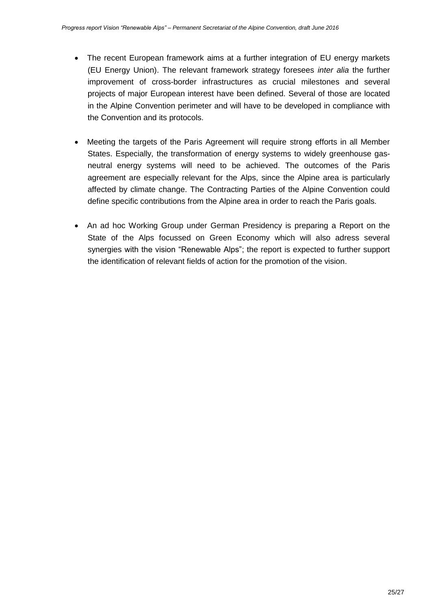- The recent European framework aims at a further integration of EU energy markets (EU Energy Union). The relevant framework strategy foresees *inter alia* the further improvement of cross-border infrastructures as crucial milestones and several projects of major European interest have been defined. Several of those are located in the Alpine Convention perimeter and will have to be developed in compliance with the Convention and its protocols.
- Meeting the targets of the Paris Agreement will require strong efforts in all Member States. Especially, the transformation of energy systems to widely greenhouse gasneutral energy systems will need to be achieved. The outcomes of the Paris agreement are especially relevant for the Alps, since the Alpine area is particularly affected by climate change. The Contracting Parties of the Alpine Convention could define specific contributions from the Alpine area in order to reach the Paris goals.
- An ad hoc Working Group under German Presidency is preparing a Report on the State of the Alps focussed on Green Economy which will also adress several synergies with the vision "Renewable Alps"; the report is expected to further support the identification of relevant fields of action for the promotion of the vision.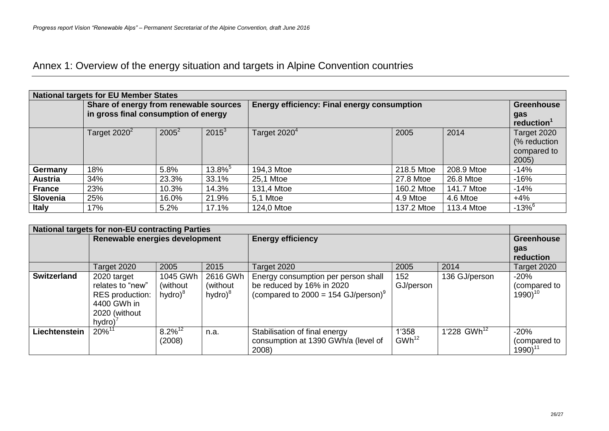## Annex 1: Overview of the energy situation and targets in Alpine Convention countries

| <b>National targets for EU Member States</b> |                                        |          |                       |                                                    |            |                               |                                                    |  |  |
|----------------------------------------------|----------------------------------------|----------|-----------------------|----------------------------------------------------|------------|-------------------------------|----------------------------------------------------|--|--|
|                                              | Share of energy from renewable sources |          |                       | <b>Energy efficiency: Final energy consumption</b> |            |                               | Greenhouse                                         |  |  |
|                                              | in gross final consumption of energy   |          |                       |                                                    |            | gas<br>reduction <sup>1</sup> |                                                    |  |  |
|                                              | Target $2020^2$                        | $2005^2$ | $2015^3$              | Target 2020 <sup>4</sup>                           | 2005       | 2014                          | Target 2020<br>(% reduction<br>compared to<br>2005 |  |  |
| Germany                                      | 18%                                    | 5.8%     | $13.8\%$ <sup>5</sup> | 194,3 Mtoe                                         | 218.5 Mtoe | 208.9 Mtoe                    | $-14%$                                             |  |  |
| Austria                                      | 34%                                    | 23.3%    | 33.1%                 | 25,1 Mtoe                                          | 27.8 Mtoe  | 26.8 Mtoe                     | $-16%$                                             |  |  |
| <b>France</b>                                | 23%                                    | 10.3%    | 14.3%                 | 131,4 Mtoe                                         | 160.2 Mtoe | 141.7 Mtoe                    | $-14%$                                             |  |  |
| <b>Slovenia</b>                              | 25%                                    | 16.0%    | 21.9%                 | 5.1 Mtoe                                           | 4.9 Mtoe   | 4.6 Mtoe                      | $+4%$                                              |  |  |
| <b>Italy</b>                                 | 17%                                    | 5.2%     | 17.1%                 | 124,0 Mtoe                                         | 137.2 Mtoe | 113.4 Mtoe                    | $-13%^{6}$                                         |  |  |

<span id="page-25-0"></span>

| <b>National targets for non-EU contracting Parties</b> |                                                                                               |                                      |                                      |                                                                                                                     |                     |                  |                                        |
|--------------------------------------------------------|-----------------------------------------------------------------------------------------------|--------------------------------------|--------------------------------------|---------------------------------------------------------------------------------------------------------------------|---------------------|------------------|----------------------------------------|
|                                                        | Renewable energies development                                                                |                                      |                                      | <b>Energy efficiency</b>                                                                                            |                     |                  | <b>Greenhouse</b>                      |
|                                                        |                                                                                               |                                      |                                      |                                                                                                                     | gas<br>reduction    |                  |                                        |
|                                                        | Target 2020                                                                                   | 2005                                 | 2015                                 | Target 2020                                                                                                         | 2005                | 2014             | Target 2020                            |
| <b>Switzerland</b>                                     | 2020 target<br>relates to "new"<br>RES production:<br>4400 GWh in<br>2020 (without<br>hydro)' | 1045 GWh<br>(without)<br>hydro $)^8$ | 2616 GWh<br>(without)<br>hydro $)^8$ | Energy consumption per person shall<br>be reduced by 16% in 2020<br>(compared to 2000 = 154 GJ/person) <sup>9</sup> | 152<br>GJ/person    | 136 GJ/person    | $-20%$<br>(compared to<br>$1990)^{10}$ |
| Liechtenstein                                          | $20\%$ <sup>11</sup>                                                                          | $8.2\%^{12}$<br>(2008)               | n.a.                                 | Stabilisation of final energy<br>consumption at 1390 GWh/a (level of<br>2008)                                       | 1'358<br>$GWh^{12}$ | 1'228 $GWh^{12}$ | $-20%$<br>(compared to<br>$1990)^{11}$ |